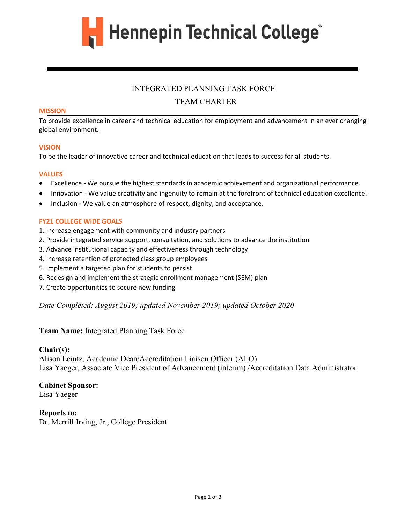

## INTEGRATED PLANNING TASK FORCE

## TEAM CHARTER

#### **MISSION**

To provide excellence in career and technical education for employment and advancement in an ever changing global environment.

#### **VISION**

To be the leader of innovative career and technical education that leads to success for all students.

#### **VALUES**

- Excellence **-** We pursue the highest standards in academic achievement and organizational performance.
- Innovation **-** We value creativity and ingenuity to remain at the forefront of technical education excellence.
- Inclusion **-** We value an atmosphere of respect, dignity, and acceptance.

### **FY21 COLLEGE WIDE GOALS**

- 1. Increase engagement with community and industry partners
- 2. Provide integrated service support, consultation, and solutions to advance the institution
- 3. Advance institutional capacity and effectiveness through technology
- 4. Increase retention of protected class group employees
- 5. Implement a targeted plan for students to persist
- 6. Redesign and implement the strategic enrollment management (SEM) plan
- 7. Create opportunities to secure new funding

*Date Completed: August 2019; updated November 2019; updated October 2020*

## **Team Name:** Integrated Planning Task Force

### **Chair(s):**

Alison Leintz, Academic Dean/Accreditation Liaison Officer (ALO) Lisa Yaeger, Associate Vice President of Advancement (interim) /Accreditation Data Administrator

## **Cabinet Sponsor:**

Lisa Yaeger

**Reports to:**  Dr. Merrill Irving, Jr., College President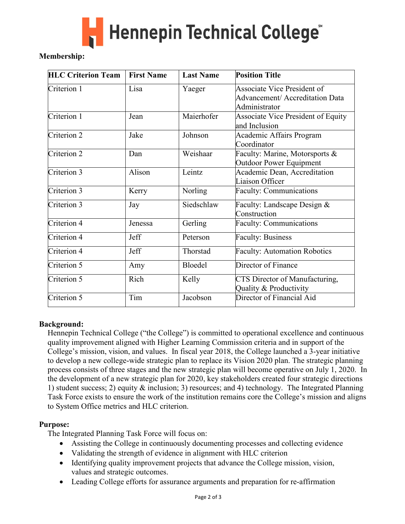

# **Membership:**

| <b>HLC Criterion Team</b> | <b>First Name</b> | <b>Last Name</b> | <b>Position Title</b>                                                           |
|---------------------------|-------------------|------------------|---------------------------------------------------------------------------------|
| Criterion 1               | Lisa              | Yaeger           | Associate Vice President of<br>Advancement/ Accreditation Data<br>Administrator |
| Criterion 1               | Jean              | Maierhofer       | Associate Vice President of Equity<br>and Inclusion                             |
| Criterion 2               | Jake              | Johnson          | Academic Affairs Program<br>Coordinator                                         |
| Criterion 2               | Dan               | Weishaar         | Faculty: Marine, Motorsports &<br><b>Outdoor Power Equipment</b>                |
| Criterion 3               | Alison            | Leintz           | Academic Dean, Accreditation<br>Liaison Officer                                 |
| Criterion 3               | Kerry             | Norling          | <b>Faculty: Communications</b>                                                  |
| Criterion 3               | Jay               | Siedschlaw       | Faculty: Landscape Design &<br>Construction                                     |
| Criterion 4               | Jenessa           | Gerling          | Faculty: Communications                                                         |
| Criterion 4               | Jeff              | Peterson         | <b>Faculty: Business</b>                                                        |
| Criterion 4               | Jeff              | Thorstad         | <b>Faculty: Automation Robotics</b>                                             |
| Criterion 5               | Amy               | Bloedel          | Director of Finance                                                             |
| Criterion 5               | Rich              | Kelly            | CTS Director of Manufacturing,<br>Quality & Productivity                        |
| Criterion 5               | Tim               | Jacobson         | Director of Financial Aid                                                       |

# **Background:**

Hennepin Technical College ("the College") is committed to operational excellence and continuous quality improvement aligned with Higher Learning Commission criteria and in support of the College's mission, vision, and values. In fiscal year 2018, the College launched a 3-year initiative to develop a new college-wide strategic plan to replace its Vision 2020 plan. The strategic planning process consists of three stages and the new strategic plan will become operative on July 1, 2020. In the development of a new strategic plan for 2020, key stakeholders created four strategic directions 1) student success; 2) equity & inclusion; 3) resources; and 4) technology. The Integrated Planning Task Force exists to ensure the work of the institution remains core the College's mission and aligns to System Office metrics and HLC criterion.

# **Purpose:**

The Integrated Planning Task Force will focus on:

- Assisting the College in continuously documenting processes and collecting evidence
- Validating the strength of evidence in alignment with HLC criterion
- Identifying quality improvement projects that advance the College mission, vision, values and strategic outcomes.
- Leading College efforts for assurance arguments and preparation for re-affirmation